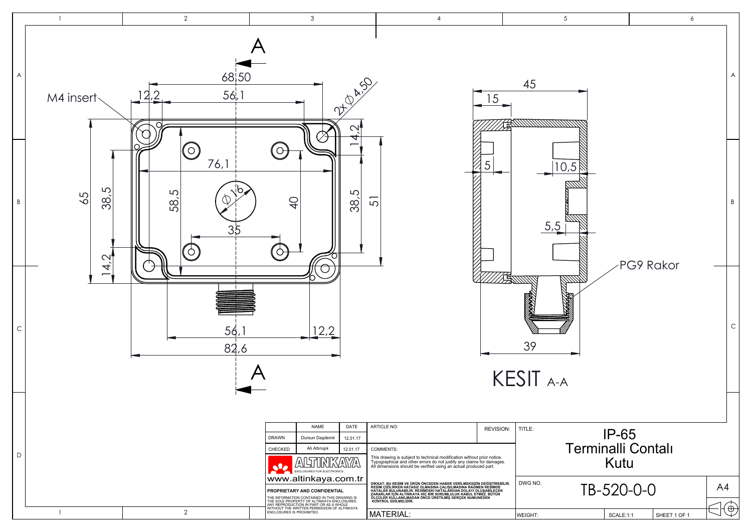